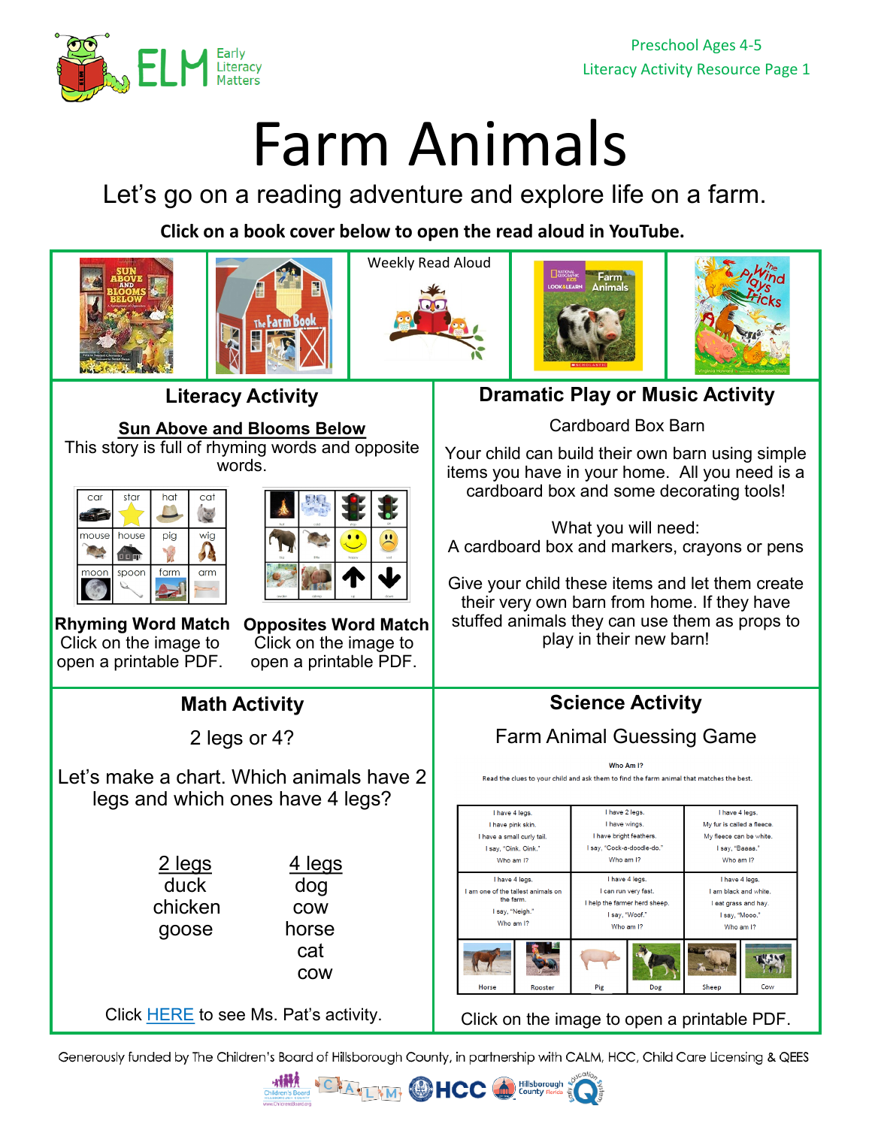

## Farm Animals

Let's go on a reading adventure and explore life on a farm.

**Click on a book cover below to open the read aloud in YouTube.** 



Generously funded by The Children's Board of Hillsborough County, in partnership with CALM, HCC, Child Care Licensing & QEES